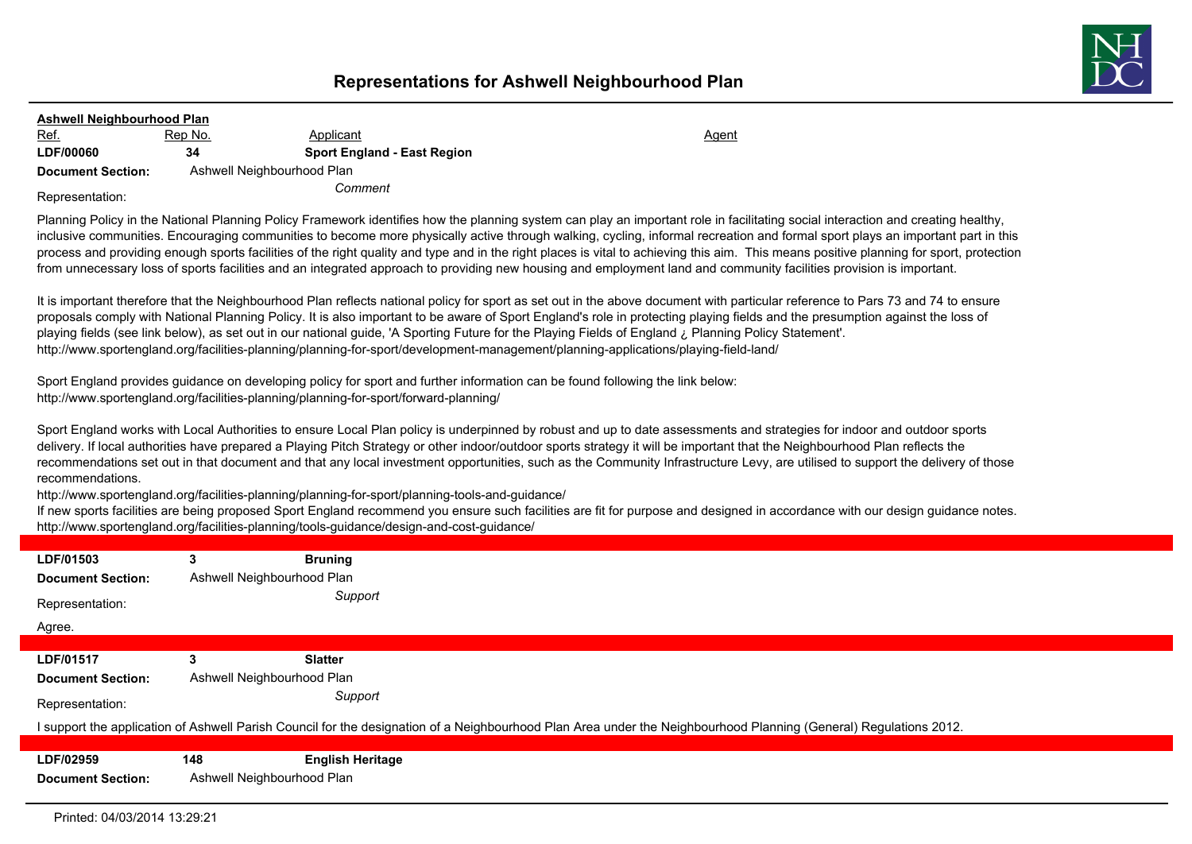## **Representations for Ashwell Neighbourhood Plan**



| <b>Ashwell Neighbourhood Plan</b> |                            |                                    |              |  |  |  |
|-----------------------------------|----------------------------|------------------------------------|--------------|--|--|--|
| <u>Ref.</u>                       | Rep No.                    | Applicant                          | <u>Agent</u> |  |  |  |
| <b>LDF/00060</b>                  | 34                         | <b>Sport England - East Region</b> |              |  |  |  |
| <b>Document Section:</b>          | Ashwell Neighbourhood Plan |                                    |              |  |  |  |
| Representation:                   | Comment                    |                                    |              |  |  |  |

Planning Policy in the National Planning Policy Framework identifies how the planning system can play an important role in facilitating social interaction and creating healthy, inclusive communities. Encouraging communities to become more physically active through walking, cycling, informal recreation and formal sport plays an important part in this process and providing enough sports facilities of the right quality and type and in the right places is vital to achieving this aim. This means positive planning for sport, protection from unnecessary loss of sports facilities and an integrated approach to providing new housing and employment land and community facilities provision is important.

It is important therefore that the Neighbourhood Plan reflects national policy for sport as set out in the above document with particular reference to Pars 73 and 74 to ensure proposals comply with National Planning Policy. It is also important to be aware of Sport England's role in protecting playing fields and the presumption against the loss of playing fields (see link below), as set out in our national guide, 'A Sporting Future for the Playing Fields of England ¿ Planning Policy Statement'. http://www.sportengland.org/facilities-planning/planning-for-sport/development-management/planning-applications/playing-field-land/

Sport England provides guidance on developing policy for sport and further information can be found following the link below: http://www.sportengland.org/facilities-planning/planning-for-sport/forward-planning/

Sport England works with Local Authorities to ensure Local Plan policy is underpinned by robust and up to date assessments and strategies for indoor and outdoor sports delivery. If local authorities have prepared a Playing Pitch Strategy or other indoor/outdoor sports strategy it will be important that the Neighbourhood Plan reflects the recommendations set out in that document and that any local investment opportunities, such as the Community Infrastructure Levy, are utilised to support the delivery of those recommendations.

http://www.sportengland.org/facilities-planning/planning-for-sport/planning-tools-and-guidance/

If new sports facilities are being proposed Sport England recommend you ensure such facilities are fit for purpose and designed in accordance with our design guidance notes. http://www.sportengland.org/facilities-planning/tools-guidance/design-and-cost-guidance/

| LDF/01503<br><b>Document Section:</b>                                                                                                                             | 3<br>Ashwell Neighbourhood Plan | <b>Bruning</b>          |  |  |
|-------------------------------------------------------------------------------------------------------------------------------------------------------------------|---------------------------------|-------------------------|--|--|
| Representation:                                                                                                                                                   |                                 | Support                 |  |  |
| Agree.                                                                                                                                                            |                                 |                         |  |  |
|                                                                                                                                                                   |                                 |                         |  |  |
| LDF/01517                                                                                                                                                         | 3                               | <b>Slatter</b>          |  |  |
| <b>Document Section:</b>                                                                                                                                          | Ashwell Neighbourhood Plan      |                         |  |  |
| Representation:                                                                                                                                                   |                                 | Support                 |  |  |
| I support the application of Ashwell Parish Council for the designation of a Neighbourhood Plan Area under the Neighbourhood Planning (General) Regulations 2012. |                                 |                         |  |  |
|                                                                                                                                                                   |                                 |                         |  |  |
| LDF/02959                                                                                                                                                         | 148                             | <b>English Heritage</b> |  |  |
| <b>Document Section:</b>                                                                                                                                          | Ashwell Neighbourhood Plan      |                         |  |  |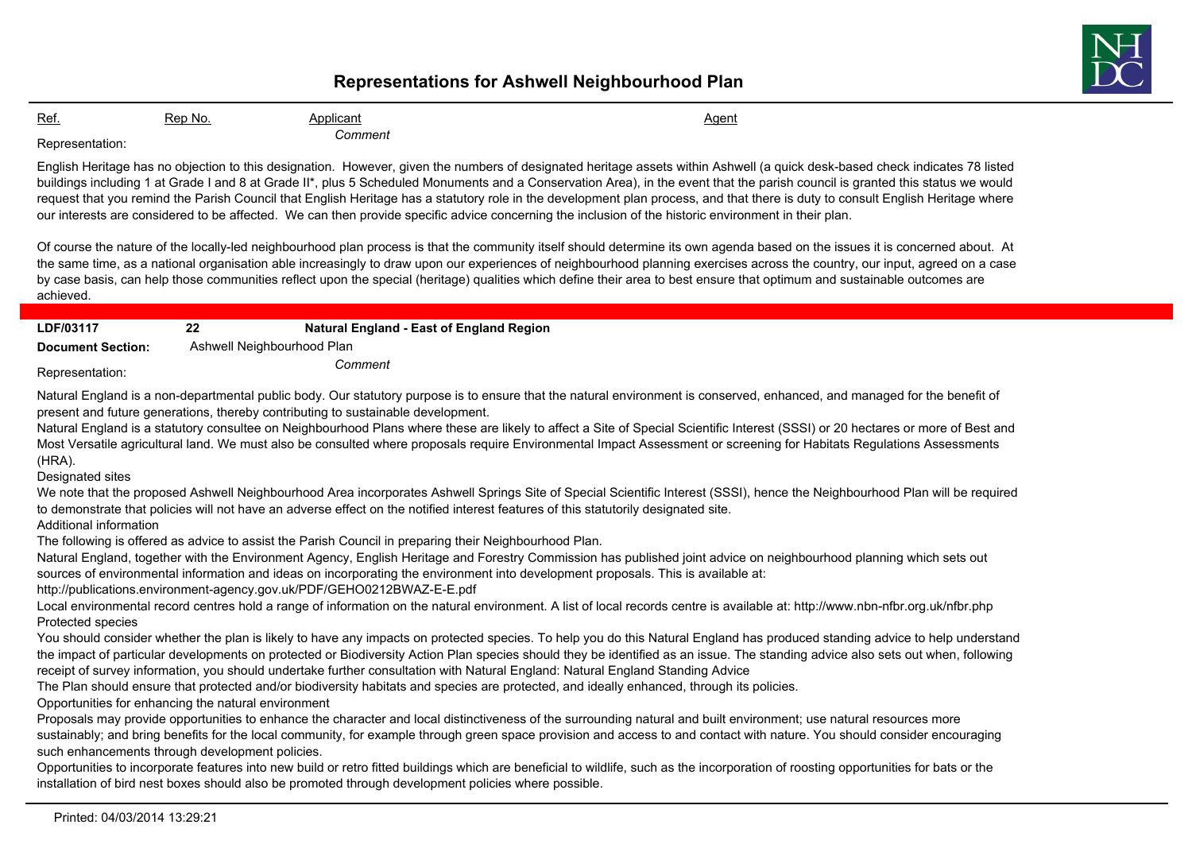## **Representations for Ashwell Neighbourhood Plan**



Ref. 6. Rep No. 6. Applicant Agent Agent Agent Agent Agent Agent Agent Agent Agent *Comment* Representation:

English Heritage has no objection to this designation. However, given the numbers of designated heritage assets within Ashwell (a quick desk-based check indicates 78 listed buildings including 1 at Grade I and 8 at Grade II\*, plus 5 Scheduled Monuments and a Conservation Area), in the event that the parish council is granted this status we would request that you remind the Parish Council that English Heritage has a statutory role in the development plan process, and that there is duty to consult English Heritage where our interests are considered to be affected. We can then provide specific advice concerning the inclusion of the historic environment in their plan.

Of course the nature of the locally-led neighbourhood plan process is that the community itself should determine its own agenda based on the issues it is concerned about. At the same time, as a national organisation able increasingly to draw upon our experiences of neighbourhood planning exercises across the country, our input, agreed on a case by case basis, can help those communities reflect upon the special (heritage) qualities which define their area to best ensure that optimum and sustainable outcomes are achieved.

| LDF/03117                | 22                         | Natural England - East of England Region |
|--------------------------|----------------------------|------------------------------------------|
| <b>Document Section:</b> | Ashwell Neighbourhood Plan |                                          |
| Representation:          |                            | Comment                                  |

Natural England is a non-departmental public body. Our statutory purpose is to ensure that the natural environment is conserved, enhanced, and managed for the benefit of present and future generations, thereby contributing to sustainable development.

Natural England is a statutory consultee on Neighbourhood Plans where these are likely to affect a Site of Special Scientific Interest (SSSI) or 20 hectares or more of Best and Most Versatile agricultural land. We must also be consulted where proposals require Environmental Impact Assessment or screening for Habitats Regulations Assessments (HRA).

Designated sites

We note that the proposed Ashwell Neighbourhood Area incorporates Ashwell Springs Site of Special Scientific Interest (SSSI), hence the Neighbourhood Plan will be required to demonstrate that policies will not have an adverse effect on the notified interest features of this statutorily designated site.

Additional information

The following is offered as advice to assist the Parish Council in preparing their Neighbourhood Plan.

Natural England, together with the Environment Agency, English Heritage and Forestry Commission has published joint advice on neighbourhood planning which sets out sources of environmental information and ideas on incorporating the environment into development proposals. This is available at:

http://publications.environment-agency.gov.uk/PDF/GEHO0212BWAZ-E-E.pdf

Local environmental record centres hold a range of information on the natural environment. A list of local records centre is available at: http://www.nbn-nfbr.org.uk/nfbr.php Protected species

You should consider whether the plan is likely to have any impacts on protected species. To help you do this Natural England has produced standing advice to help understand the impact of particular developments on protected or Biodiversity Action Plan species should they be identified as an issue. The standing advice also sets out when, following receipt of survey information, you should undertake further consultation with Natural England: Natural England Standing Advice

The Plan should ensure that protected and/or biodiversity habitats and species are protected, and ideally enhanced, through its policies.

Opportunities for enhancing the natural environment

Proposals may provide opportunities to enhance the character and local distinctiveness of the surrounding natural and built environment; use natural resources more sustainably; and bring benefits for the local community, for example through green space provision and access to and contact with nature. You should consider encouraging such enhancements through development policies.

Opportunities to incorporate features into new build or retro fitted buildings which are beneficial to wildlife, such as the incorporation of roosting opportunities for bats or the installation of bird nest boxes should also be promoted through development policies where possible.